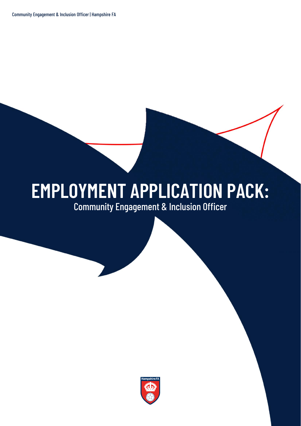# **EMPLOYMENT APPLICATION PACK:**

Community Engagement & Inclusion Officer

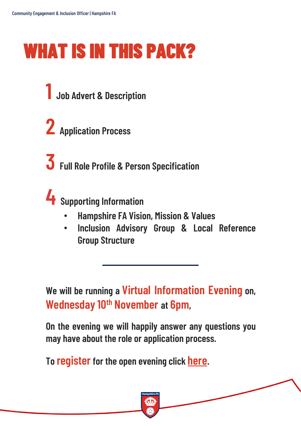# **WHAT IS IN THIS PACK?**

**1 Job Advert & Description**

- **2 Application Process**
- **3 Full Role Profile & Person Specification**



- **Hampshire FA Vision, Mission & Values**
- **Inclusion Advisory Group & Local Reference Group Structure**

**We will be running a Virtual Information Evening on, Wednesday 10th November at 6pm,**

**On the evening we will happily answer any questions you may have about the role or application process.**

**To register for the open evening click [here](https://forms.office.com/r/YME259mTKt).**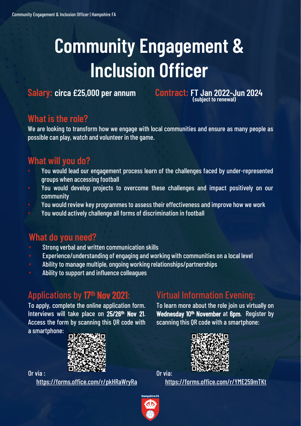# **Community Engagement & Inclusion Officer**

**Salary: circa £25,000 per annum Contract: FT Jan 2022-Jun 2024 (subject to renewal)**

### **What is the role?**

We are looking to transform how we engage with local communities and ensure as many people as possible can play, watch and volunteer in the game.

### **What will you do?**

- You would lead our engagement process learn of the challenges faced by under-represented groups when accessing football
- You would develop projects to overcome these challenges and impact positively on our community
- You would review key programmesto assesstheir effectiveness and improve how we work
- You would actively challenge all forms of discrimination in football

### **What do you need?**

- Strong verbal and written communication skills
- Experience/understanding of engaging and working with communities on a local level
- Ability to manage multiple, ongoing working relationships/partnerships
- Ability to support and influence colleagues

### Applications by 17th Nov 2021:

To apply, complete the online application form. Interviews will take place on 25/26<sup>th</sup> Nov 21. Access the form by scanning this QR code with a smartphone:



Virtual Information Evening:

To learn more about the role join us virtually on Wednesday 10<sup>th</sup> November at 6pm. Register by scanning this QR code with a smartphone:



Or via: <https://forms.office.com/r/YME259mTKt>

Or via: <https://forms.office.com/r/pkHRaWryRa>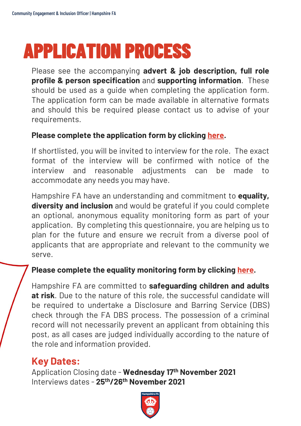# **APPLICATION PROCESS**

Please see the accompanying **advert & job description, full role profile & person specification** and **supporting information**. These should be used as a guide when completing the application form. The application form can be made available in alternative formats and should this be required please contact us to advise of your requirements.

#### **Please complete the application form by clicking [here](https://forms.office.com/r/pkHRaWryRa).**

If shortlisted, you will be invited to interview for the role. The exact format of the interview will be confirmed with notice of the interview and reasonable adjustments can be made to accommodate any needs you may have.

Hampshire FA have an understanding and commitment to **equality, diversity and inclusion** and would be grateful if you could complete an optional, anonymous equality monitoring form as part of your application. By completing this questionnaire, you are helping us to plan for the future and ensure we recruit from a diverse pool of applicants that are appropriate and relevant to the community we serve.

### **Please complete the equality monitoring form by clicking [here](https://forms.office.com/r/qi9R9Xhw2c).**

Hampshire FA are committed to **safeguarding children and adults at risk**. Due to the nature of this role, the successful candidate will be required to undertake a Disclosure and Barring Service (DBS) check through the FA DBS process. The possession of a criminal record will not necessarily prevent an applicant from obtaining this post, as all cases are judged individually according to the nature of the role and information provided.

### **Key Dates:**

Application Closing date - **Wednesday 17th November 2021** Interviews dates - **25th/26th November 2021**

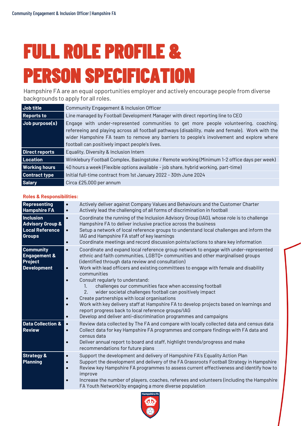# **FULL ROLE PROFILE & PERSON SPECIFICATION**

Hampshire FA are an equal opportunities employer and actively encourage people from diverse backgrounds to apply for all roles.

| Job title            | Community Engagement & Inclusion Officer                                                                                                                                                                                                                                                                                               |  |
|----------------------|----------------------------------------------------------------------------------------------------------------------------------------------------------------------------------------------------------------------------------------------------------------------------------------------------------------------------------------|--|
| <b>Reports to</b>    | Line managed by Football Development Manager with direct reporting line to CEO                                                                                                                                                                                                                                                         |  |
| Job purpose(s)       | Engage with under-represented communities to get more people volunteering, coaching,<br>refereeing and playing across all football pathways (disability, male and female). Work with the<br>wider Hampshire FA team to remove any barriers to people's involvement and explore where<br>football can positively impact people's lives. |  |
| Direct reports       | Equality, Diversity & Inclusion Intern                                                                                                                                                                                                                                                                                                 |  |
| Location             | Winklebury Football Complex, Basingstoke / Remote working (Minimum 1-2 office days per week)                                                                                                                                                                                                                                           |  |
| <b>Working hours</b> | 40 hours a week (Flexible options available - job share, hybrid working, part-time)                                                                                                                                                                                                                                                    |  |
| <b>Contract type</b> | Initial full-time contract from 1st January 2022 - 30th June 2024                                                                                                                                                                                                                                                                      |  |
| <b>Salary</b>        | Circa £25,000 per annum                                                                                                                                                                                                                                                                                                                |  |

#### **Roles & Responsibilities:**

| Representing<br><b>Hampshire FA</b>                                                 | Actively deliver against Company Values and Behaviours and the Customer Charter<br>$\bullet$<br>Actively lead the challenging of all forms of discrimination in football<br>$\bullet$                                                                                                                                                                                                                                                                                                                                                                                                                                                                                                                                                                                                                                                                        |
|-------------------------------------------------------------------------------------|--------------------------------------------------------------------------------------------------------------------------------------------------------------------------------------------------------------------------------------------------------------------------------------------------------------------------------------------------------------------------------------------------------------------------------------------------------------------------------------------------------------------------------------------------------------------------------------------------------------------------------------------------------------------------------------------------------------------------------------------------------------------------------------------------------------------------------------------------------------|
| Inclusion<br><b>Advisory Group &amp;</b><br><b>Local Reference</b><br><b>Groups</b> | Coordinate the running of the Inclusion Advisory Group (IAG), whose role is to challenge<br>$\bullet$<br>Hampshire FA to deliver inclusive practice across the business<br>Setup a network of local reference groups to understand local challenges and inform the<br>$\bullet$<br>IAG and Hampshire FA staff of key learnings<br>Coordinate meetings and record discussion points/actions to share key information<br>$\bullet$                                                                                                                                                                                                                                                                                                                                                                                                                             |
| <b>Community</b><br><b>Engagement &amp;</b><br><b>Project</b><br><b>Development</b> | Coordinate and expand local reference group network to engage with under-represented<br>$\bullet$<br>ethnic and faith communities, LGBTQ+ communities and other marginalised groups<br>(identified through data review and consultation)<br>Work with lead officers and existing committees to engage with female and disability<br>$\bullet$<br>communities<br>Consult regularly to understand:<br>$\bullet$<br>challenges our communities face when accessing football<br>1.<br>wider societal challenges football can positively impact<br>2.<br>Create partnerships with local organisations<br>$\bullet$<br>Work with key delivery staff at Hampshire FA to develop projects based on learnings and<br>$\bullet$<br>report progress back to local reference groups/IAG<br>Develop and deliver anti-discrimination programmes and campaigns<br>$\bullet$ |
| <b>Data Collection &amp;</b><br><b>Review</b>                                       | Review data collected by The FA and compare with locally collected data and census data<br>$\bullet$<br>Collect data for key Hampshire FA programmes and compare findings with FA data and<br>$\bullet$<br>census data<br>Deliver annual report to board and staff, highlight trends/progress and make<br>$\bullet$<br>recommendations for future plans                                                                                                                                                                                                                                                                                                                                                                                                                                                                                                      |
| <b>Strategy &amp;</b><br><b>Planning</b>                                            | Support the development and delivery of Hampshire FA's Equality Action Plan<br>$\bullet$<br>Support the development and delivery of the FA Grassroots Football Strategy in Hampshire<br>$\bullet$<br>Review key Hampshire FA programmes to assess current effectiveness and identify how to<br>$\bullet$<br>improve<br>Increase the number of players, coaches, referees and volunteers (including the Hampshire<br>$\bullet$<br>FA Youth Network) by engaging a more diverse population                                                                                                                                                                                                                                                                                                                                                                     |

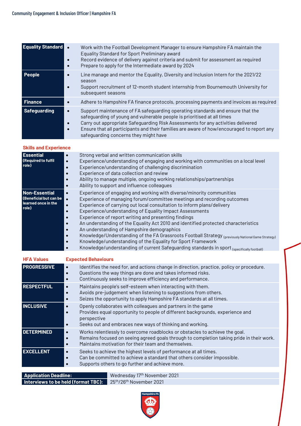| <b>Equality Standard c</b> | Work with the Football Development Manager to ensure Hampshire FA maintain the<br>Equality Standard for Sport Preliminary award<br>Record evidence of delivery against criteria and submit for assessment as required<br>$\bullet$<br>Prepare to apply for the Intermediate award by 2024<br>$\bullet$                                                                                                                     |
|----------------------------|----------------------------------------------------------------------------------------------------------------------------------------------------------------------------------------------------------------------------------------------------------------------------------------------------------------------------------------------------------------------------------------------------------------------------|
| <b>People</b>              | Line manage and mentor the Equality, Diversity and Inclusion Intern for the 2021/22<br>C<br>season<br>Support recruitment of 12-month student internship from Bournemouth University for<br>$\bullet$<br>subsequent seasons                                                                                                                                                                                                |
| <b>Finance</b>             | Adhere to Hampshire FA finance protocols, processing payments and invoices as required                                                                                                                                                                                                                                                                                                                                     |
| <b>Safeguarding</b>        | Support maintenance of FA safeguarding operating standards and ensure that the<br>$\bullet$<br>safequarding of young and vulnerable people is prioritised at all times<br>Carry out appropriate Safeguarding Risk Assessments for any activities delivered<br>$\bullet$<br>Ensure that all participants and their families are aware of how/encouraged to report any<br>$\bullet$<br>safequarding concerns they might have |

#### **Skills and Experience**

| <b>Essential</b><br><b>(Required to fulfil</b><br>role)                 | Strong verbal and written communication skills<br>$\bullet$<br>Experience/understanding of engaging and working with communities on a local level<br>$\bullet$<br>Experience/understanding of challenging discrimination<br>$\bullet$<br>Experience of data collection and review<br>$\bullet$<br>Ability to manage multiple, ongoing working relationships/partnerships<br>$\bullet$<br>Ability to support and influence colleagues<br>$\bullet$                                                                                                                                                                                                                                                                                                                                                                                |
|-------------------------------------------------------------------------|----------------------------------------------------------------------------------------------------------------------------------------------------------------------------------------------------------------------------------------------------------------------------------------------------------------------------------------------------------------------------------------------------------------------------------------------------------------------------------------------------------------------------------------------------------------------------------------------------------------------------------------------------------------------------------------------------------------------------------------------------------------------------------------------------------------------------------|
| Non-Essential<br>(Beneficial but can be<br>learned once in the<br>role) | Experience of engaging and working with diverse/minority communities<br>$\bullet$<br>Experience of managing forum/committee meetings and recording outcomes<br>Experience of carrying out local consultation to inform plans/delivery<br>Experience/understanding of Equality Impact Assessments<br>Experience of report writing and presenting findings<br>$\bullet$<br>An understanding of the Equality Act 2010 and identified protected characteristics<br>$\bullet$<br>An understanding of Hampshire demographics<br>$\bullet$<br>Knowledge/Understanding of the FA Grassroots Football Strategy (previously National Game Strategy)<br>$\bullet$<br>Knowledge/understanding of the Equality for Sport Framework<br>$\bullet$<br>Knowledge/understanding of current Safeguarding standards in sport (specifically football) |

| <b>HFA Values</b>  | <b>Expected Behaviours</b>                                                                                                                                                                                                                                            |  |
|--------------------|-----------------------------------------------------------------------------------------------------------------------------------------------------------------------------------------------------------------------------------------------------------------------|--|
| <b>PROGRESSIVE</b> | Identifies the need for, and actions change in direction, practice, policy or procedure.<br>$\bullet$<br>Questions the way things are done and takes informed risks.<br>$\bullet$<br>Continuously seeks to improve efficiency and performance.<br>$\bullet$           |  |
| <b>RESPECTFUL</b>  | Maintains people's self-esteem when interacting with them.<br>$\bullet$<br>Avoids pre-judgement when listening to suggestions from others.<br>$\bullet$<br>Seizes the opportunity to apply Hampshire FA standards at all times.<br>$\bullet$                          |  |
| <b>INCLUSIVE</b>   | Openly collaborates with colleagues and partners in the game<br>$\bullet$<br>Provides equal opportunity to people of different backgrounds, experience and<br>$\bullet$<br>perspective<br>Seeks out and embraces new ways of thinking and working.<br>$\bullet$       |  |
| <b>DETERMINED</b>  | Works relentlessly to overcome roadblocks or obstacles to achieve the goal.<br>$\bullet$<br>Remains focused on seeing agreed goals through to completion taking pride in their work.<br>$\bullet$<br>Maintains motivation for their team and themselves.<br>$\bullet$ |  |
| <b>EXCELLENT</b>   | Seeks to achieve the highest levels of performance at all times.<br>$\bullet$<br>Can be committed to achieve a standard that others consider impossible.<br>$\bullet$<br>Supports others to go further and achieve more.<br>$\bullet$                                 |  |
|                    |                                                                                                                                                                                                                                                                       |  |

| <b>Application Deadline:</b>                                                         | Wednesday 17th November 2021 |
|--------------------------------------------------------------------------------------|------------------------------|
| Interviews to be held (format TBC): 25 <sup>th</sup> /26 <sup>th</sup> November 2021 |                              |
|                                                                                      |                              |

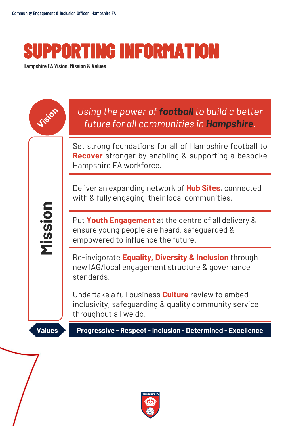## **SUPPORTING INFORMATION**

**Hampshire FA Vision, Mission & Values**